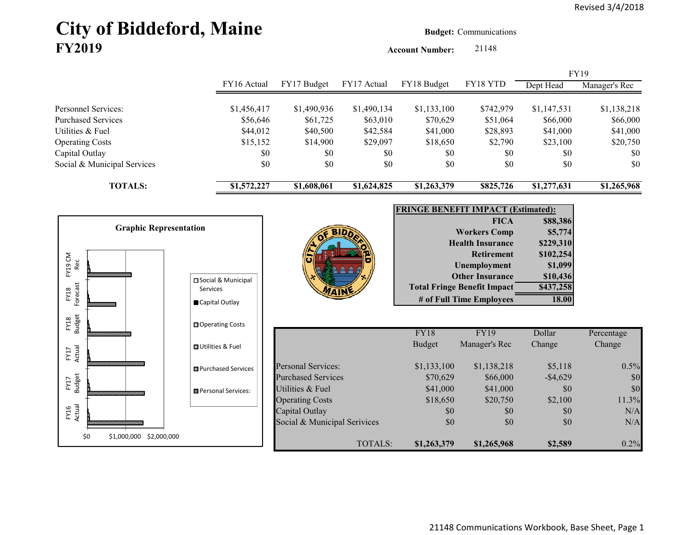# **City of Biddeford, Maine Budget:** Communications **FY2019**

**Account Number:** 21148

|                             |             |             |             |             |           |             | <b>FY19</b>   |
|-----------------------------|-------------|-------------|-------------|-------------|-----------|-------------|---------------|
|                             | FY16 Actual | FY17 Budget | FY17 Actual | FY18 Budget | FY18 YTD  | Dept Head   | Manager's Rec |
|                             |             |             |             |             |           |             |               |
| <b>Personnel Services:</b>  | \$1,456,417 | \$1,490,936 | \$1,490,134 | \$1,133,100 | \$742,979 | \$1,147,531 | \$1,138,218   |
| <b>Purchased Services</b>   | \$56,646    | \$61,725    | \$63,010    | \$70,629    | \$51,064  | \$66,000    | \$66,000      |
| Utilities & Fuel            | \$44,012    | \$40,500    | \$42,584    | \$41,000    | \$28,893  | \$41,000    | \$41,000      |
| <b>Operating Costs</b>      | \$15,152    | \$14,900    | \$29,097    | \$18,650    | \$2,790   | \$23,100    | \$20,750      |
| Capital Outlay              | \$0         | \$0         | \$0         | \$0         | \$0       | \$0         | \$0           |
| Social & Municipal Services | \$0         | \$0         | \$0         | \$0         | \$0       | \$0         | \$0           |
| <b>TOTALS:</b>              | \$1,572,227 | \$1,608,061 | \$1,624,825 | \$1,263,379 | \$825,726 | \$1,277,631 | \$1,265,968   |

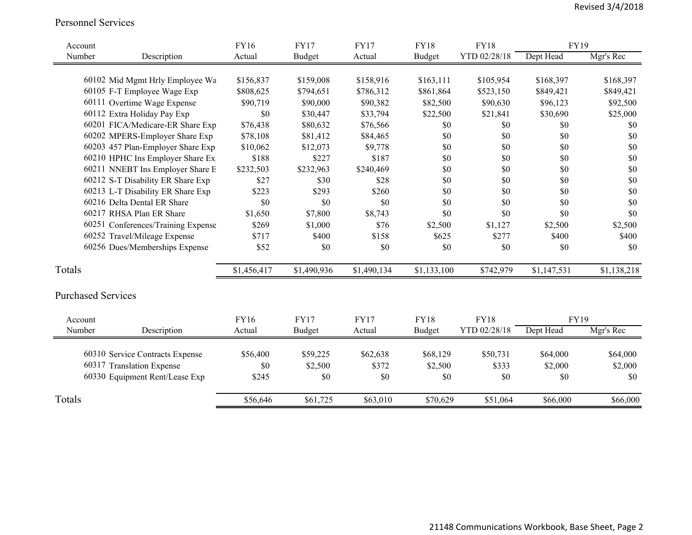#### Personnel Services

| Account |                                    | FY16        | <b>FY17</b>   | <b>FY17</b> | <b>FY18</b>   | <b>FY18</b>  | <b>FY19</b> |             |
|---------|------------------------------------|-------------|---------------|-------------|---------------|--------------|-------------|-------------|
| Number  | Description                        | Actual      | <b>Budget</b> | Actual      | <b>Budget</b> | YTD 02/28/18 | Dept Head   | Mgr's Rec   |
|         |                                    |             |               |             |               |              |             |             |
|         | 60102 Mid Mgmt Hrly Employee Wa    | \$156,837   | \$159,008     | \$158,916   | \$163,111     | \$105,954    | \$168,397   | \$168,397   |
|         | 60105 F-T Employee Wage Exp        | \$808,625   | \$794,651     | \$786,312   | \$861,864     | \$523,150    | \$849,421   | \$849,421   |
|         | 60111 Overtime Wage Expense        | \$90,719    | \$90,000      | \$90,382    | \$82,500      | \$90,630     | \$96,123    | \$92,500    |
|         | 60112 Extra Holiday Pay Exp        | \$0         | \$30,447      | \$33,794    | \$22,500      | \$21,841     | \$30,690    | \$25,000    |
|         | 60201 FICA/Medicare-ER Share Exp   | \$76,438    | \$80,632      | \$76,566    | \$0           | \$0          | \$0         | \$0         |
|         | 60202 MPERS-Employer Share Exp     | \$78,108    | \$81,412      | \$84,465    | \$0           | \$0          | \$0         | \$0         |
|         | 60203 457 Plan-Employer Share Exp  | \$10,062    | \$12,073      | \$9,778     | \$0           | \$0          | \$0         | \$0         |
|         | 60210 HPHC Ins Employer Share Ex   | \$188       | \$227         | \$187       | \$0           | \$0          | \$0         | \$0         |
|         | 60211 NNEBT Ins Employer Share E   | \$232,503   | \$232,963     | \$240,469   | $\$0$         | \$0          | \$0         | \$0         |
|         | 60212 S-T Disability ER Share Exp  | \$27        | \$30          | \$28        | \$0           | \$0          | \$0         | \$0         |
|         | 60213 L-T Disability ER Share Exp  | \$223       | \$293         | \$260       | \$0           | \$0          | \$0         | \$0         |
|         | 60216 Delta Dental ER Share        | \$0         | \$0           | \$0         | \$0           | \$0          | \$0         | \$0         |
|         | 60217 RHSA Plan ER Share           | \$1,650     | \$7,800       | \$8,743     | \$0           | \$0          | \$0         | \$0         |
|         | 60251 Conferences/Training Expense | \$269       | \$1,000       | \$76        | \$2,500       | \$1,127      | \$2,500     | \$2,500     |
|         | 60252 Travel/Mileage Expense       | \$717       | \$400         | \$158       | \$625         | \$277        | \$400       | \$400       |
|         | 60256 Dues/Memberships Expense     | \$52        | \$0           | \$0         | \$0           | \$0          | \$0         | \$0         |
|         |                                    |             |               |             |               |              |             |             |
| Totals  |                                    | \$1,456,417 | \$1,490,936   | \$1,490,134 | \$1,133,100   | \$742,979    | \$1,147,531 | \$1,138,218 |
|         | <b>Purchased Services</b>          |             |               |             |               |              |             |             |
| Account |                                    | FY16        | <b>FY17</b>   | <b>FY17</b> | <b>FY18</b>   | <b>FY18</b>  | FY19        |             |
| Number  | Description                        | Actual      | <b>Budget</b> | Actual      | <b>Budget</b> | YTD 02/28/18 | Dept Head   | Mgr's Rec   |
|         |                                    |             |               |             |               |              |             |             |
|         | 60310 Service Contracts Expense    | \$56,400    | \$59,225      | \$62,638    | \$68,129      | \$50,731     | \$64,000    | \$64,000    |
|         | 60317 Translation Expense          | \$0         | \$2,500       | \$372       | \$2,500       | \$333        | \$2,000     | \$2,000     |
|         | 60330 Equipment Rent/Lease Exp     | \$245       | \$0           | \$0         | \$0           | \$0          | \$0         | \$0         |
| Totals  |                                    | \$56,646    | \$61,725      | \$63,010    | \$70,629      | \$51,064     | \$66,000    | \$66,000    |
|         |                                    |             |               |             |               |              |             |             |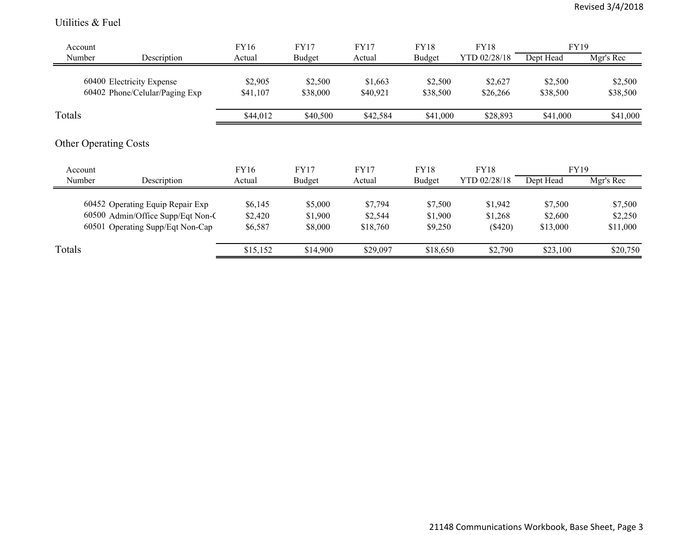#### Utilities & Fuel

| Account |                                                                                                           | FY16                          | <b>FY17</b>                   | <b>FY17</b>                    | <b>FY18</b>                   | <b>FY18</b>                     | <b>FY19</b>                    |                                |
|---------|-----------------------------------------------------------------------------------------------------------|-------------------------------|-------------------------------|--------------------------------|-------------------------------|---------------------------------|--------------------------------|--------------------------------|
| Number  | Description                                                                                               | Actual                        | <b>Budget</b>                 | Actual                         | Budget                        | YTD 02/28/18                    | Dept Head                      | Mgr's Rec                      |
|         | 60400 Electricity Expense<br>60402 Phone/Celular/Paging Exp                                               | \$2,905<br>\$41,107           | \$2,500<br>\$38,000           | \$1,663<br>\$40,921            | \$2,500<br>\$38,500           | \$2,627<br>\$26,266             | \$2,500<br>\$38,500            | \$2,500<br>\$38,500            |
| Totals  |                                                                                                           | \$44,012                      | \$40,500                      | \$42,584                       | \$41,000                      | \$28,893                        | \$41,000                       | \$41,000                       |
|         | <b>Other Operating Costs</b>                                                                              |                               |                               |                                |                               |                                 |                                |                                |
| Account |                                                                                                           | FY16                          | <b>FY17</b>                   | <b>FY17</b>                    | <b>FY18</b>                   | <b>FY18</b>                     | FY19                           |                                |
| Number  | Description                                                                                               | Actual                        | <b>Budget</b>                 | Actual                         | <b>Budget</b>                 | YTD 02/28/18                    | Dept Head                      | Mgr's Rec                      |
|         | 60452 Operating Equip Repair Exp<br>60500 Admin/Office Supp/Eqt Non-C<br>60501 Operating Supp/Eqt Non-Cap | \$6,145<br>\$2,420<br>\$6,587 | \$5,000<br>\$1,900<br>\$8,000 | \$7,794<br>\$2,544<br>\$18,760 | \$7,500<br>\$1,900<br>\$9,250 | \$1,942<br>\$1,268<br>$(\$420)$ | \$7,500<br>\$2,600<br>\$13,000 | \$7,500<br>\$2,250<br>\$11,000 |
| Totals  |                                                                                                           | \$15,152                      | \$14,900                      | \$29,097                       | \$18,650                      | \$2,790                         | \$23,100                       | \$20,750                       |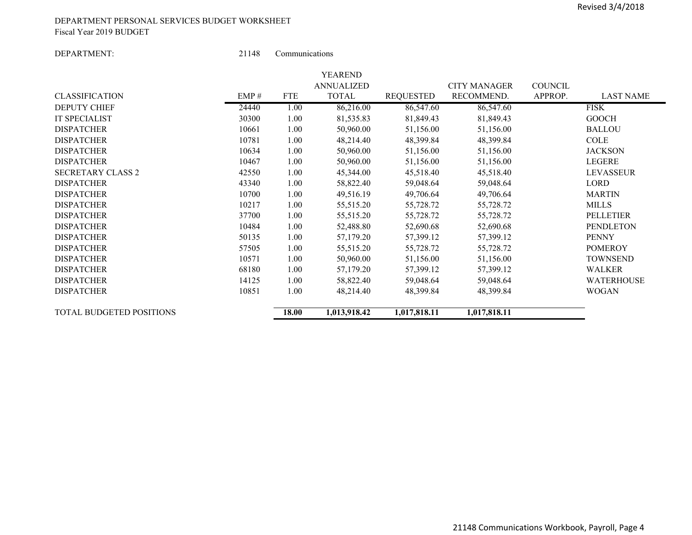#### DEPARTMENT PERSONAL SERVICES BUDGET WORKSHEET Fiscal Year 2019 BUDGET

DEPARTMENT:

21148 Communications

|                          |       |            | YEAREND           |                  |                     |                |                  |
|--------------------------|-------|------------|-------------------|------------------|---------------------|----------------|------------------|
|                          |       |            | <b>ANNUALIZED</b> |                  | <b>CITY MANAGER</b> | <b>COUNCIL</b> |                  |
| <b>CLASSIFICATION</b>    | EMP#  | <b>FTE</b> | TOTAL             | <b>REQUESTED</b> | RECOMMEND.          | APPROP.        | <b>LAST NAME</b> |
| <b>DEPUTY CHIEF</b>      | 24440 | 1.00       | 86,216.00         | 86,547.60        | 86,547.60           |                | <b>FISK</b>      |
| <b>IT SPECIALIST</b>     | 30300 | 1.00       | 81,535.83         | 81,849.43        | 81,849.43           |                | <b>GOOCH</b>     |
| <b>DISPATCHER</b>        | 10661 | 1.00       | 50,960.00         | 51,156.00        | 51,156.00           |                | <b>BALLOU</b>    |
| <b>DISPATCHER</b>        | 10781 | 1.00       | 48,214.40         | 48,399.84        | 48,399.84           |                | <b>COLE</b>      |
| <b>DISPATCHER</b>        | 10634 | 1.00       | 50,960.00         | 51,156.00        | 51,156.00           |                | <b>JACKSON</b>   |
| <b>DISPATCHER</b>        | 10467 | 1.00       | 50,960.00         | 51,156.00        | 51,156.00           |                | <b>LEGERE</b>    |
| <b>SECRETARY CLASS 2</b> | 42550 | 1.00       | 45,344.00         | 45,518.40        | 45,518.40           |                | <b>LEVASSEUR</b> |
| <b>DISPATCHER</b>        | 43340 | 1.00       | 58,822.40         | 59,048.64        | 59,048.64           |                | LORD             |
| <b>DISPATCHER</b>        | 10700 | 1.00       | 49,516.19         | 49,706.64        | 49,706.64           |                | <b>MARTIN</b>    |
| <b>DISPATCHER</b>        | 10217 | 1.00       | 55,515.20         | 55,728.72        | 55,728.72           |                | <b>MILLS</b>     |
| <b>DISPATCHER</b>        | 37700 | 1.00       | 55,515.20         | 55,728.72        | 55,728.72           |                | <b>PELLETIER</b> |
| <b>DISPATCHER</b>        | 10484 | 1.00       | 52,488.80         | 52,690.68        | 52,690.68           |                | <b>PENDLETON</b> |
| <b>DISPATCHER</b>        | 50135 | 1.00       | 57,179.20         | 57,399.12        | 57,399.12           |                | <b>PENNY</b>     |
| <b>DISPATCHER</b>        | 57505 | 1.00       | 55,515.20         | 55,728.72        | 55,728.72           |                | <b>POMEROY</b>   |
| <b>DISPATCHER</b>        | 10571 | 1.00       | 50,960.00         | 51,156.00        | 51,156.00           |                | <b>TOWNSEND</b>  |
| <b>DISPATCHER</b>        | 68180 | 1.00       | 57,179.20         | 57,399.12        | 57,399.12           |                | <b>WALKER</b>    |
| <b>DISPATCHER</b>        | 14125 | 1.00       | 58,822.40         | 59,048.64        | 59,048.64           |                | WATERHOUSE       |
| <b>DISPATCHER</b>        | 10851 | 1.00       | 48,214.40         | 48,399.84        | 48,399.84           |                | <b>WOGAN</b>     |
| TOTAL BUDGETED POSITIONS |       | 18.00      | 1,013,918.42      | 1,017,818.11     | 1,017,818.11        |                |                  |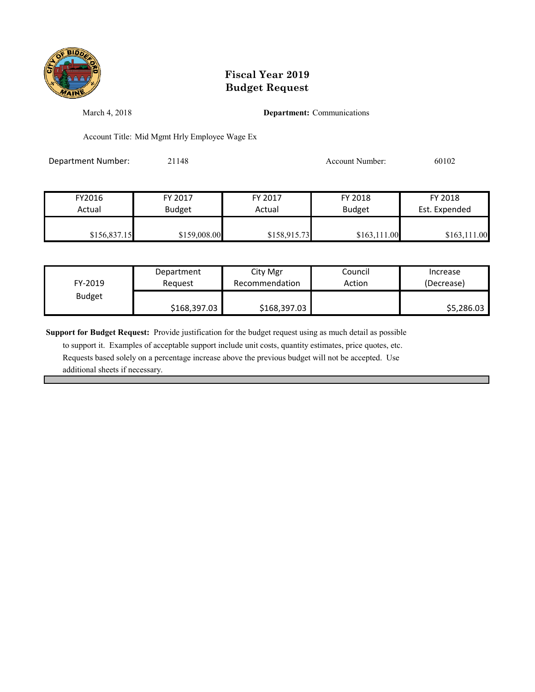

March 4, 2018 **Department:** Communications

Account Title: Mid Mgmt Hrly Employee Wage Ex

Department Number: 21148 21148 Account Number: 60102

| FY2016       | FY 2017       | FY 2017      | FY 2018       | FY 2018       |
|--------------|---------------|--------------|---------------|---------------|
| Actual       | <b>Budget</b> | Actual       | <b>Budget</b> | Est. Expended |
|              |               |              |               |               |
| \$156,837.15 | \$159,008.00  | \$158,915.73 | \$163.111.00  | \$163,111.00  |

| FY-2019       | Department   | City Mgr       | Council | Increase   |
|---------------|--------------|----------------|---------|------------|
|               | Reauest      | Recommendation | Action  | (Decrease) |
| <b>Budget</b> | \$168,397.03 | \$168,397.03   |         | \$5,286.03 |

**Support for Budget Request:** Provide justification for the budget request using as much detail as possible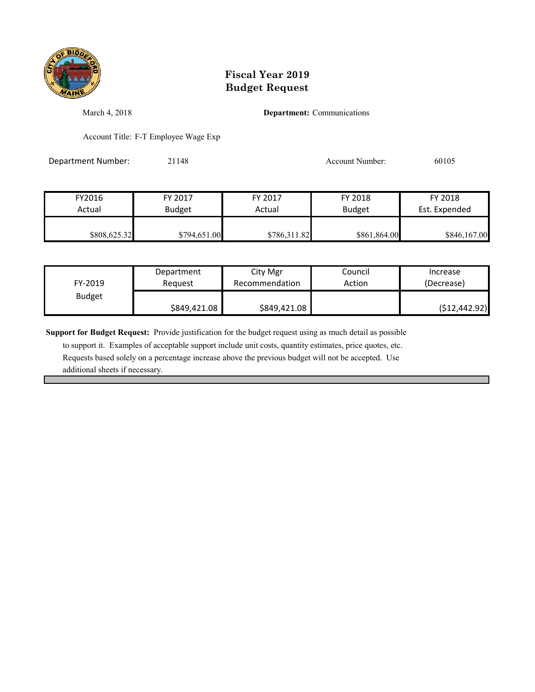

March 4, 2018 **Department:** Communications

Account Title: F-T Employee Wage Exp

Department Number: 21148 21148 Account Number: 60105

| FY2016       | FY 2017       | FY 2017      | FY 2018       | FY 2018       |
|--------------|---------------|--------------|---------------|---------------|
| Actual       | <b>Budget</b> | Actual       | <b>Budget</b> | Est. Expended |
| \$808,625.32 | \$794,651.00  | \$786,311.82 | \$861,864.00  | \$846,167.00  |

| FY-2019       | Department   | City Mgr       | Council | Increase       |
|---------------|--------------|----------------|---------|----------------|
|               | Reguest      | Recommendation | Action  | (Decrease)     |
| <b>Budget</b> | \$849,421.08 | \$849,421.08   |         | ( \$12,442.92) |

**Support for Budget Request:** Provide justification for the budget request using as much detail as possible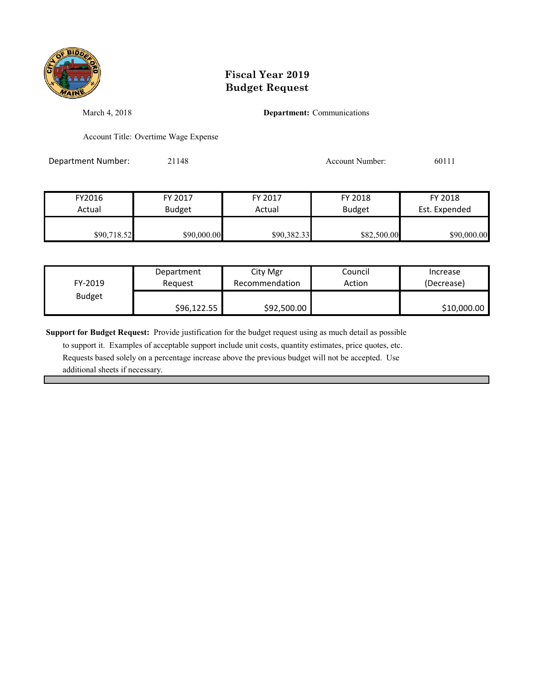

March 4, 2018 **Department:** Communications

Account Title: Overtime Wage Expense

Department Number: 21148 21148 Account Number: 60111

| FY2016      | FY 2017       | FY 2017     | FY 2018       | FY 2018       |
|-------------|---------------|-------------|---------------|---------------|
| Actual      | <b>Budget</b> | Actual      | <b>Budget</b> | Est. Expended |
| \$90,718.52 | \$90,000.00   | \$90,382.33 | \$82,500.00   | \$90,000.00   |

| FY-2019       | Department  | City Mgr       | Council | Increase    |
|---------------|-------------|----------------|---------|-------------|
|               | Reauest     | Recommendation | Action  | (Decrease)  |
| <b>Budget</b> | \$96,122.55 | \$92,500.00    |         | \$10,000.00 |

**Support for Budget Request:** Provide justification for the budget request using as much detail as possible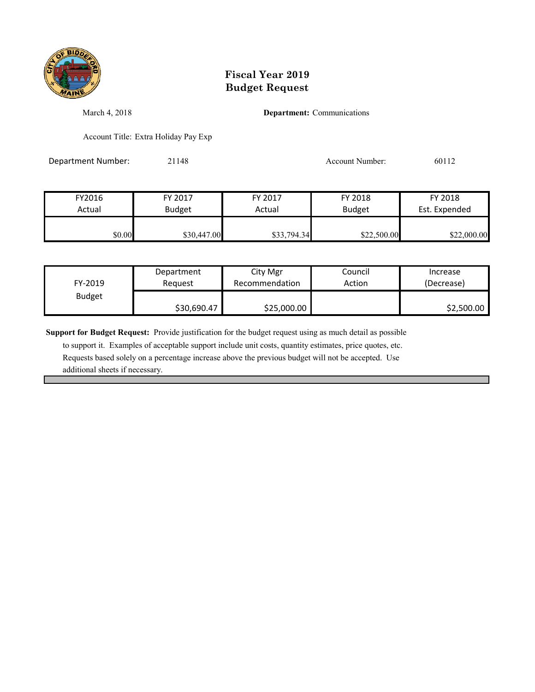

March 4, 2018 **Department:** Communications

Account Title: Extra Holiday Pay Exp

Department Number: 21148 21148 Account Number: 60112

| FY2016 | FY 2017       | FY 2017     | FY 2018       | FY 2018       |
|--------|---------------|-------------|---------------|---------------|
| Actual | <b>Budget</b> | Actual      | <b>Budget</b> | Est. Expended |
| \$0.00 | \$30,447.00   | \$33,794.34 | \$22,500.00   | \$22,000.00   |

| FY-2019       | Department  | City Mgr       | Council | Increase   |
|---------------|-------------|----------------|---------|------------|
|               | Reauest     | Recommendation | Action  | (Decrease) |
| <b>Budget</b> | \$30,690.47 | \$25,000.00    |         | \$2,500.00 |

**Support for Budget Request:** Provide justification for the budget request using as much detail as possible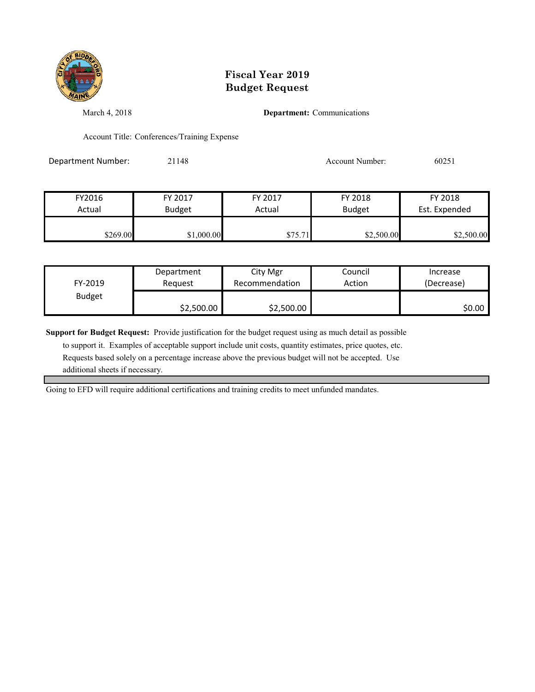

March 4, 2018 **Department:** Communications

Account Title: Conferences/Training Expense

Department Number: 21148 21148 Account Number: 60251

| FY2016   | FY 2017       | FY 2017 | FY 2018       | FY 2018       |
|----------|---------------|---------|---------------|---------------|
| Actual   | <b>Budget</b> | Actual  | <b>Budget</b> | Est. Expended |
|          |               |         |               |               |
| \$269.00 | \$1,000.00    | \$75.71 | \$2,500.00    | \$2,500.00    |

| FY-2019       | Department | City Mgr       | Council | Increase   |
|---------------|------------|----------------|---------|------------|
|               | Reauest    | Recommendation | Action  | (Decrease) |
| <b>Budget</b> | \$2,500.00 | \$2,500.00     |         | \$0.00 l   |

**Support for Budget Request:** Provide justification for the budget request using as much detail as possible

 to support it. Examples of acceptable support include unit costs, quantity estimates, price quotes, etc. Requests based solely on a percentage increase above the previous budget will not be accepted. Use additional sheets if necessary.

Going to EFD will require additional certifications and training credits to meet unfunded mandates.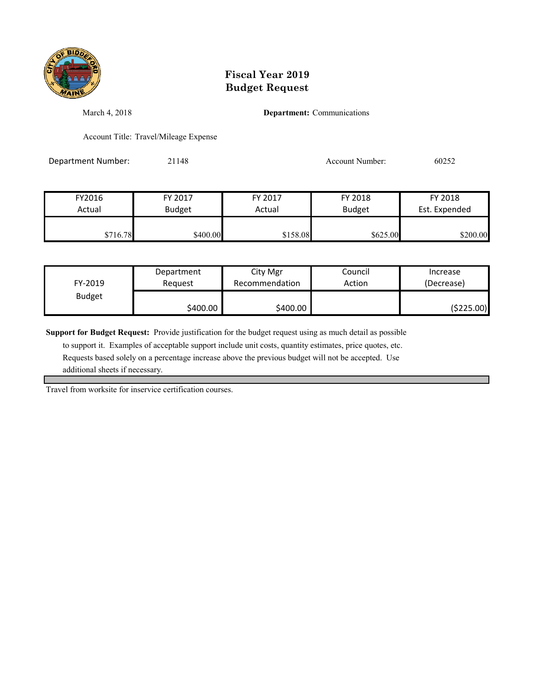

March 4, 2018 **Department:** Communications

Account Title: Travel/Mileage Expense

Department Number: 21148 21148 Account Number: 60252

| FY2016   | FY 2017       | FY 2017  | FY 2018       | FY 2018       |
|----------|---------------|----------|---------------|---------------|
| Actual   | <b>Budget</b> | Actual   | <b>Budget</b> | Est. Expended |
| \$716.78 | \$400.00      | \$158.08 | \$625.00      | \$200.00      |

| FY-2019       | Department | City Mgr       | Council | Increase   |
|---------------|------------|----------------|---------|------------|
|               | Reauest    | Recommendation | Action  | (Decrease) |
| <b>Budget</b> | \$400.00   | \$400.00       |         | (\$225.00) |

**Support for Budget Request:** Provide justification for the budget request using as much detail as possible

 to support it. Examples of acceptable support include unit costs, quantity estimates, price quotes, etc. Requests based solely on a percentage increase above the previous budget will not be accepted. Use additional sheets if necessary.

Travel from worksite for inservice certification courses.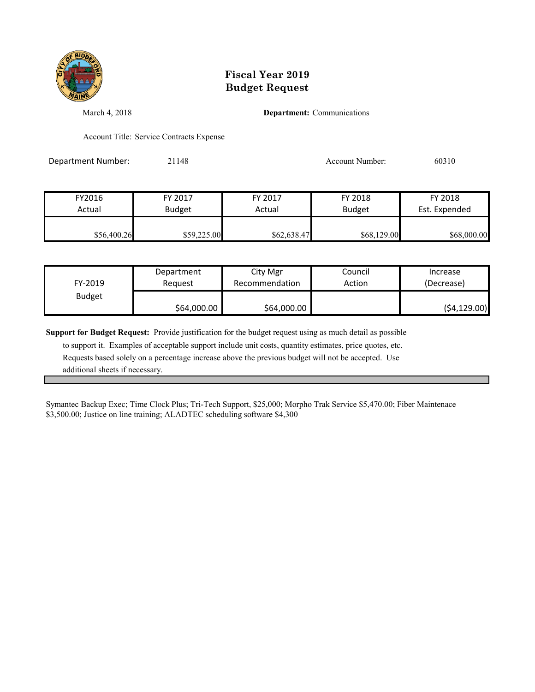

March 4, 2018 **Department:** Communications

Account Title: Service Contracts Expense

Department Number: 21148 Account Number: 60310

| FY2016      | FY 2017       | FY 2017     | FY 2018       | FY 2018       |
|-------------|---------------|-------------|---------------|---------------|
| Actual      | <b>Budget</b> | Actual      | <b>Budget</b> | Est. Expended |
| \$56,400.26 | \$59,225.00   | \$62,638.47 | \$68,129.00   | \$68,000.00   |

| FY-2019       | Department  | City Mgr       | Council | Increase     |
|---------------|-------------|----------------|---------|--------------|
|               | Reauest     | Recommendation | Action  | (Decrease)   |
| <b>Budget</b> | \$64,000.00 | \$64,000.00    |         | (54, 129.00) |

**Support for Budget Request:** Provide justification for the budget request using as much detail as possible

 to support it. Examples of acceptable support include unit costs, quantity estimates, price quotes, etc. Requests based solely on a percentage increase above the previous budget will not be accepted. Use additional sheets if necessary.

Symantec Backup Exec; Time Clock Plus; Tri-Tech Support, \$25,000; Morpho Trak Service \$5,470.00; Fiber Maintenace \$3,500.00; Justice on line training; ALADTEC scheduling software \$4,300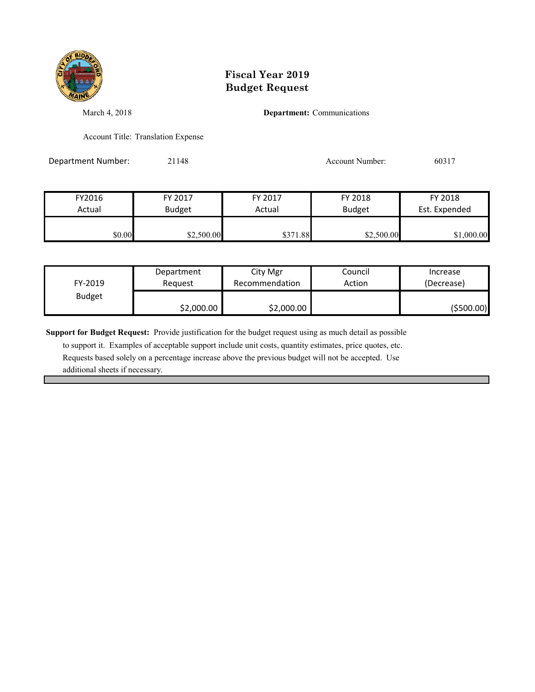

March 4, 2018 **Department:** Communications

Account Title: Translation Expense

Department Number: 21148 21148 Account Number: 60317

| FY2016 | FY 2017       | FY 2017  | FY 2018       | FY 2018       |
|--------|---------------|----------|---------------|---------------|
| Actual | <b>Budget</b> | Actual   | <b>Budget</b> | Est. Expended |
| \$0.00 | \$2,500.00    | \$371.88 | \$2,500.00    | \$1,000.00    |

| FY-2019       | Department | City Mgr       | Council | Increase   |
|---------------|------------|----------------|---------|------------|
|               | Reauest    | Recommendation | Action  | (Decrease) |
| <b>Budget</b> | \$2,000.00 | \$2,000.00     |         | (\$500.00) |

**Support for Budget Request:** Provide justification for the budget request using as much detail as possible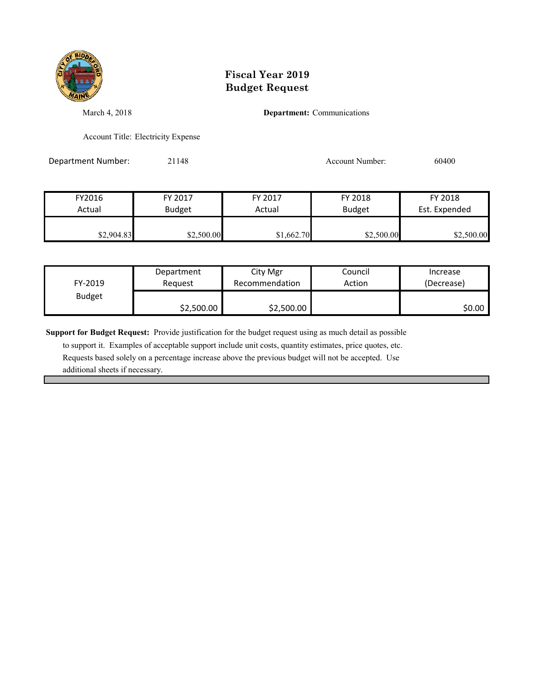

March 4, 2018 **Department:** Communications

Account Title: Electricity Expense

Department Number: 21148 21148 Account Number: 60400

| FY2016     | FY 2017       | FY 2017    | FY 2018       | FY 2018       |
|------------|---------------|------------|---------------|---------------|
| Actual     | <b>Budget</b> | Actual     | <b>Budget</b> | Est. Expended |
| \$2,904.83 | \$2,500.00    | \$1,662.70 | \$2,500.00    | \$2,500.00    |

| FY-2019       | Department | City Mgr       | Council | Increase   |
|---------------|------------|----------------|---------|------------|
|               | Reauest    | Recommendation | Action  | (Decrease) |
| <b>Budget</b> | \$2,500.00 | \$2,500.00     |         | \$0.00 l   |

**Support for Budget Request:** Provide justification for the budget request using as much detail as possible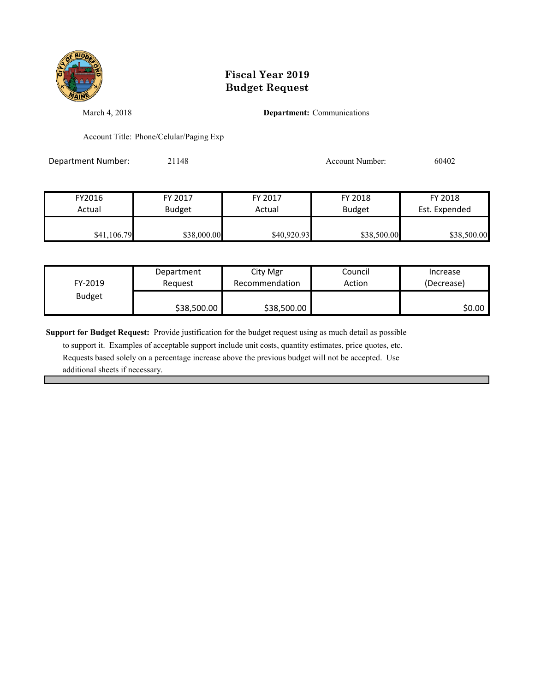

March 4, 2018 **Department:** Communications

Account Title: Phone/Celular/Paging Exp

Department Number: 21148 21148 Account Number: 60402

| FY2016      | FY 2017       | FY 2017     | FY 2018       | FY 2018       |
|-------------|---------------|-------------|---------------|---------------|
| Actual      | <b>Budget</b> | Actual      | <b>Budget</b> | Est. Expended |
| \$41,106.79 | \$38,000.00   | \$40,920.93 | \$38,500.00   | \$38,500.00   |

| FY-2019       | Department  | City Mgr       | Council | Increase   |
|---------------|-------------|----------------|---------|------------|
|               | Reauest     | Recommendation | Action  | (Decrease) |
| <b>Budget</b> | \$38,500.00 | \$38,500.00    |         | \$0.00 l   |

**Support for Budget Request:** Provide justification for the budget request using as much detail as possible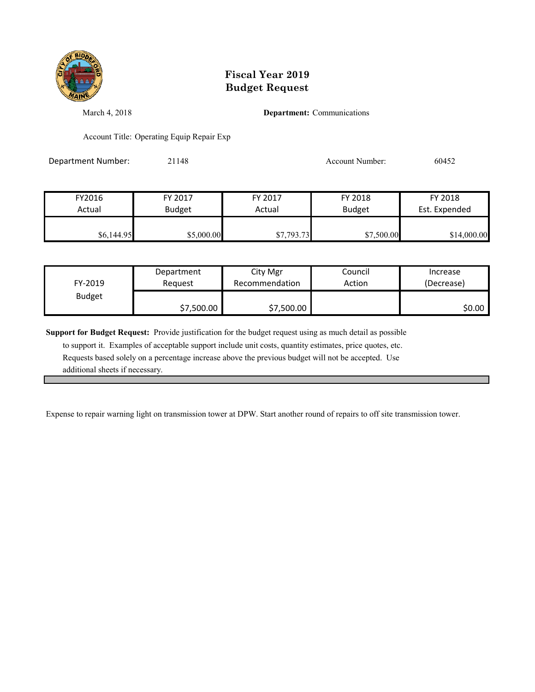

March 4, 2018 **Department:** Communications

Account Title: Operating Equip Repair Exp

Department Number: 21148 21148 Account Number: 60452

| FY2016     | FY 2017       | FY 2017    | FY 2018       | FY 2018       |
|------------|---------------|------------|---------------|---------------|
| Actual     | <b>Budget</b> | Actual     | <b>Budget</b> | Est. Expended |
|            |               |            |               |               |
| \$6,144.95 | \$5,000.00    | \$7,793.73 | \$7,500.00    | \$14,000.00   |

| FY-2019       | Department | City Mgr       | Council | Increase   |
|---------------|------------|----------------|---------|------------|
|               | Reauest    | Recommendation | Action  | (Decrease) |
| <b>Budget</b> | \$7,500.00 | \$7,500.00     |         | \$0.00 l   |

**Support for Budget Request:** Provide justification for the budget request using as much detail as possible

 to support it. Examples of acceptable support include unit costs, quantity estimates, price quotes, etc. Requests based solely on a percentage increase above the previous budget will not be accepted. Use additional sheets if necessary.

Expense to repair warning light on transmission tower at DPW. Start another round of repairs to off site transmission tower.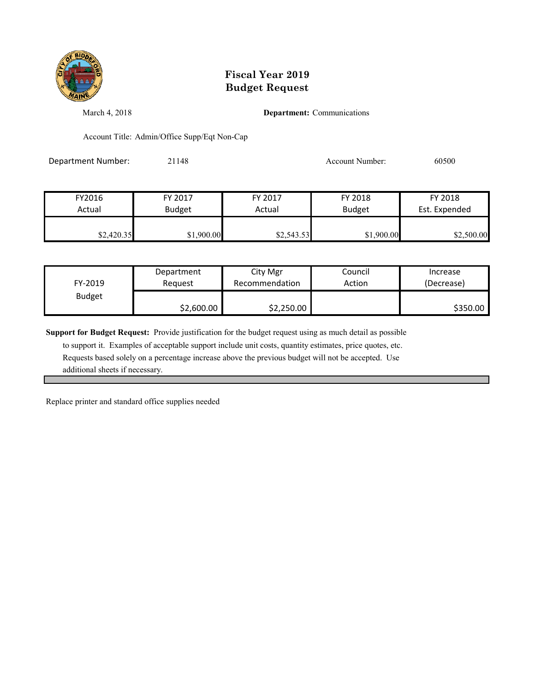

March 4, 2018 **Department:** Communications

Account Title: Admin/Office Supp/Eqt Non-Cap

Department Number: 21148 21148 Account Number: 60500

| FY2016     | FY 2017       | FY 2017    | FY 2018       | FY 2018       |
|------------|---------------|------------|---------------|---------------|
| Actual     | <b>Budget</b> | Actual     | <b>Budget</b> | Est. Expended |
|            |               |            |               |               |
| \$2,420.35 | \$1,900.00    | \$2,543.53 | \$1,900.00    | \$2,500.00    |

| FY-2019       | Department | City Mgr       | Council | Increase   |
|---------------|------------|----------------|---------|------------|
|               | Reauest    | Recommendation | Action  | (Decrease) |
| <b>Budget</b> | \$2,600.00 | \$2,250.00     |         | \$350.00   |

**Support for Budget Request:** Provide justification for the budget request using as much detail as possible

 to support it. Examples of acceptable support include unit costs, quantity estimates, price quotes, etc. Requests based solely on a percentage increase above the previous budget will not be accepted. Use additional sheets if necessary.

Replace printer and standard office supplies needed